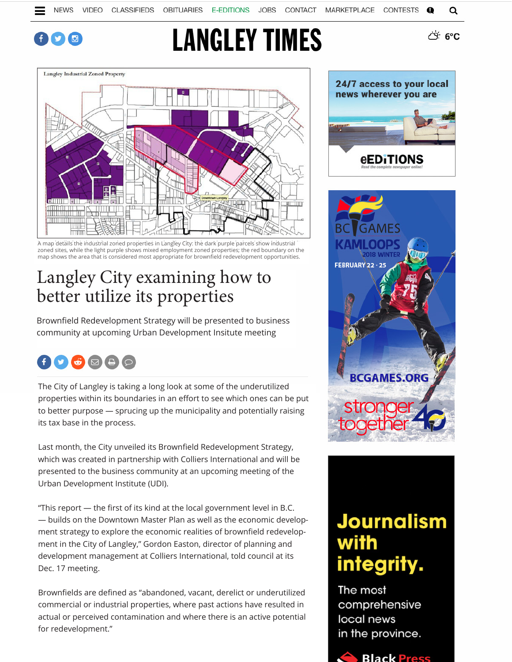#### $\mathbf{f} \boldsymbol{\odot} \mathbf{G}$

# **LANGLEY TIMES**



A map details the industrial zoned properties in Langley City: the dark purple parcels show industrial zoned sites, while the light purple shows mixed employment zoned properties; the red boundary on the map shows the area that is considered most appropriate for brownfield redevelopment opportunities.

### Langley City examining how to better utilize its properties

Brownfield Redevelopment Strategy will be presented to business community at upcoming Urban Development Insitute meeting

## $\bigoplus$   $\bigodot$   $\bigoplus$   $\bigoplus$   $\bigoplus$   $\bigodot$

The City of Langley is taking a long look at some of the underutilized properties within its boundaries in an effort to see which ones can be put to better purpose — sprucing up the municipality and potentially raising its tax base in the process.

Last month, the City unveiled its Brownfield Redevelopment Strategy, which was created in partnership with Colliers International and will be presented to the business community at an upcoming meeting of the Urban Development Institute (UDI).

"This report — the first of its kind at the local government level in B.C. — builds on the Downtown Master Plan as well as the economic development strategy to explore the economic realities of brownfield redevelopment in the City of Langley," Gordon Easton, director of planning and development management at Colliers International, told council at its Dec. 17 meeting.

Brownfields are defined as "abandoned, vacant, derelict or underutilized commercial or industrial properties, where past actions have resulted in actual or perceived contamination and where there is an active potential for redevelopment."



<u>් 6°C</u>



## **Journalism** with integrity.

The most comprehensive local news in the province.